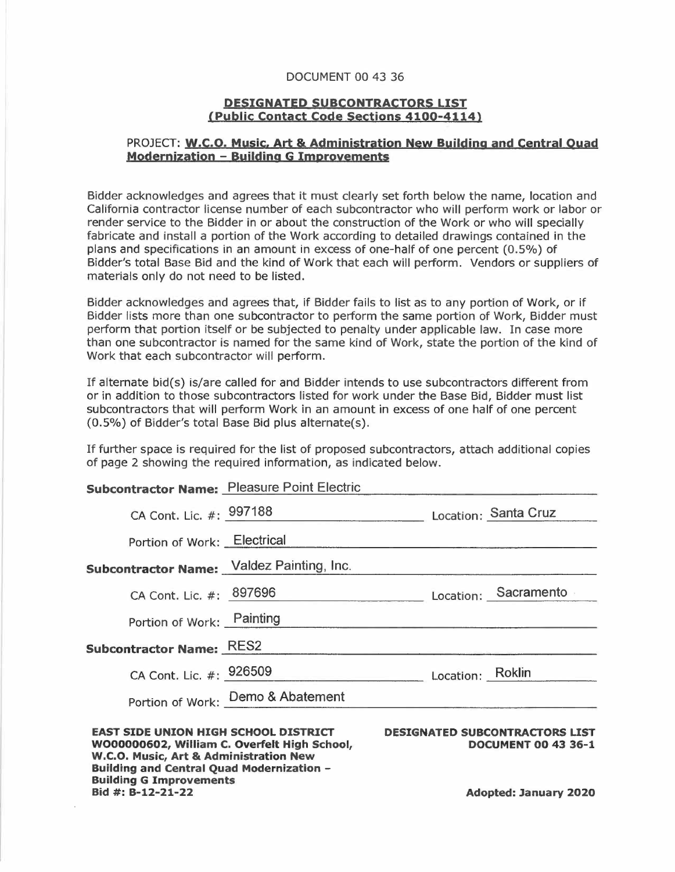## DOCUMENT 00 43 36

## **DESIGNATED SUBCONTRACTORS LIST <Public contact Code sectjons 4100-4114}**

## PROJECT: **w.c.o. Music. Art & Administration New Building and central Quad Modernization - Building G Improvements**

Bidder acknowledges and agrees that it must clearly set forth below the name, location and California contractor license number of each subcontractor who will perform work or labor or render service to the Bidder in or about the construction of the Work or who will specially fabricate and install a portion of the Work according to detailed drawings contained in the plans and specifications in an amount in excess of one-half of one percent (0.5%) of Bidder's total Base Bid and the kind of Work that each will perform. Vendors or suppliers of materials only do not need to be listed.

Bidder acknowledges and agrees that, if Bidder fails to list as to any portion of Work, or if Bidder lists more than one subcontractor to perform the same portion of Work, Bidder must perform that portion itself or be subjected to penalty under applicable law. In case more than one subcontractor is named for the same kind of Work, state the portion of the kind of Work that each subcontractor will perform.

If alternate bid(s) is/are called for and Bidder intends to use subcontractors different from or in addition to those subcontractors listed for work under the Base Bid, Bidder must list subcontractors that will perform Work in an amount in excess of one half of one percent (0.5%) of Bidder's total Base Bid plus alternate(s).

If further space is required for the list of proposed subcontractors, attach additional copies of page 2 showing the required information, as indicated below.

## **Subcontractor Name:** Pleasure Point Electric

| <b>Building and Central Quad Modernization -</b><br><b>Building G Improvements</b><br>Bid #: B-12-21-22                               |                                   |                                                                     | <b>Adopted: January 2020</b> |
|---------------------------------------------------------------------------------------------------------------------------------------|-----------------------------------|---------------------------------------------------------------------|------------------------------|
| <b>EAST SIDE UNION HIGH SCHOOL DISTRICT</b><br>WO00000602, William C. Overfelt High School,<br>W.C.O. Music, Art & Administration New |                                   | <b>DESIGNATED SUBCONTRACTORS LIST</b><br><b>DOCUMENT 00 43 36-1</b> |                              |
|                                                                                                                                       | Portion of Work: Demo & Abatement |                                                                     |                              |
| CA Cont. Lic. #: 926509                                                                                                               |                                   | Location: Roklin                                                    |                              |
| <b>Subcontractor Name: RES2</b>                                                                                                       |                                   |                                                                     |                              |
| Portion of Work: Painting                                                                                                             |                                   |                                                                     |                              |
| CA Cont. Lic. #: 897696                                                                                                               |                                   |                                                                     | Location: Sacramento         |
| <b>Subcontractor Name:</b> Valdez Painting, Inc.                                                                                      |                                   |                                                                     |                              |
| Portion of Work: Electrical                                                                                                           |                                   |                                                                     |                              |
| CA Cont. Lic. #: 997188                                                                                                               |                                   |                                                                     | Location: Santa Cruz         |